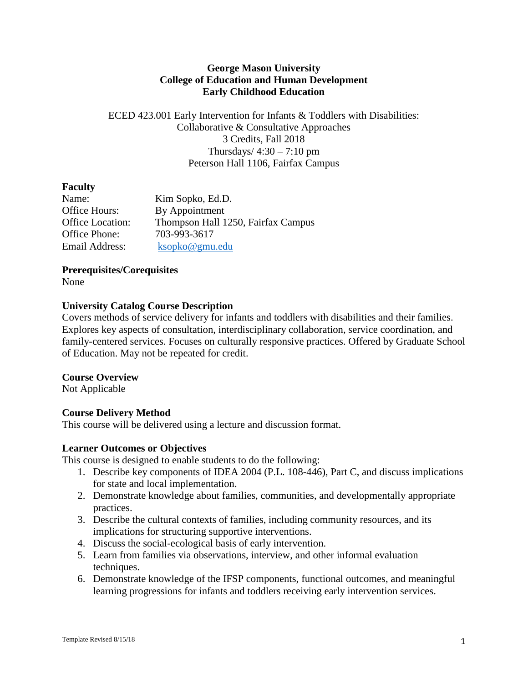## **George Mason University College of Education and Human Development Early Childhood Education**

## ECED 423.001 Early Intervention for Infants & Toddlers with Disabilities: Collaborative & Consultative Approaches 3 Credits, Fall 2018 Thursdays/ $4:30 - 7:10$  pm Peterson Hall 1106, Fairfax Campus

## **Faculty**

| Name:                   | Kim Sopko, Ed.D.                   |
|-------------------------|------------------------------------|
| Office Hours:           | By Appointment                     |
| <b>Office Location:</b> | Thompson Hall 1250, Fairfax Campus |
| Office Phone:           | 703-993-3617                       |
| Email Address:          | ksopko@gmu.edu                     |

**Prerequisites/Corequisites**

None

# **University Catalog Course Description**

Covers methods of service delivery for infants and toddlers with disabilities and their families. Explores key aspects of consultation, interdisciplinary collaboration, service coordination, and family-centered services. Focuses on culturally responsive practices. Offered by Graduate School of Education. May not be repeated for credit.

## **Course Overview**

Not Applicable

# **Course Delivery Method**

This course will be delivered using a lecture and discussion format.

## **Learner Outcomes or Objectives**

This course is designed to enable students to do the following:

- 1. Describe key components of IDEA 2004 (P.L. 108-446), Part C, and discuss implications for state and local implementation.
- 2. Demonstrate knowledge about families, communities, and developmentally appropriate practices.
- 3. Describe the cultural contexts of families, including community resources, and its implications for structuring supportive interventions.
- 4. Discuss the social-ecological basis of early intervention.
- 5. Learn from families via observations, interview, and other informal evaluation techniques.
- 6. Demonstrate knowledge of the IFSP components, functional outcomes, and meaningful learning progressions for infants and toddlers receiving early intervention services.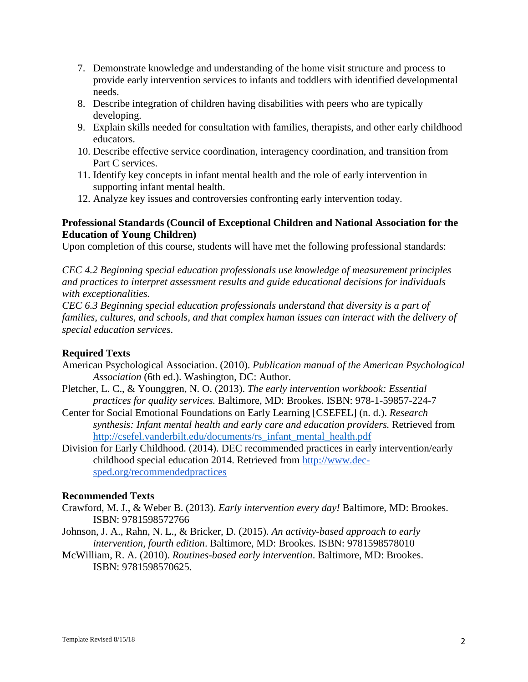- 7. Demonstrate knowledge and understanding of the home visit structure and process to provide early intervention services to infants and toddlers with identified developmental needs.
- 8. Describe integration of children having disabilities with peers who are typically developing.
- 9. Explain skills needed for consultation with families, therapists, and other early childhood educators.
- 10. Describe effective service coordination, interagency coordination, and transition from Part C services.
- 11. Identify key concepts in infant mental health and the role of early intervention in supporting infant mental health.
- 12. Analyze key issues and controversies confronting early intervention today.

## **Professional Standards (Council of Exceptional Children and National Association for the Education of Young Children)**

Upon completion of this course, students will have met the following professional standards:

*CEC 4.2 Beginning special education professionals use knowledge of measurement principles and practices to interpret assessment results and guide educational decisions for individuals with exceptionalities.*

*CEC 6.3 Beginning special education professionals understand that diversity is a part of families, cultures, and schools, and that complex human issues can interact with the delivery of special education services.* 

## **Required Texts**

- American Psychological Association. (2010). *Publication manual of the American Psychological Association* (6th ed.). Washington, DC: Author.
- Pletcher, L. C., & Younggren, N. O. (2013). *The early intervention workbook: Essential practices for quality services.* Baltimore, MD: Brookes. ISBN: 978-1-59857-224-7
- Center for Social Emotional Foundations on Early Learning [CSEFEL] (n. d.). *Research synthesis: Infant mental health and early care and education providers.* Retrieved from [http://csefel.vanderbilt.edu/documents/rs\\_infant\\_mental\\_health.pdf](http://csefel.vanderbilt.edu/documents/rs_infant_mental_health.pdf)
- Division for Early Childhood. (2014). DEC recommended practices in early intervention/early childhood special education 2014. Retrieved from [http://www.dec](http://www.dec-sped.org/recommendedpractices)[sped.org/recommendedpractices](http://www.dec-sped.org/recommendedpractices)

#### **Recommended Texts**

- Crawford, M. J., & Weber B. (2013). *Early intervention every day!* Baltimore, MD: Brookes. ISBN: 9781598572766
- Johnson, J. A., Rahn, N. L., & Bricker, D. (2015). *An activity-based approach to early intervention, fourth edition*. Baltimore, MD: Brookes. ISBN: 9781598578010
- McWilliam, R. A. (2010). *Routines-based early intervention*. Baltimore, MD: Brookes. ISBN: 9781598570625.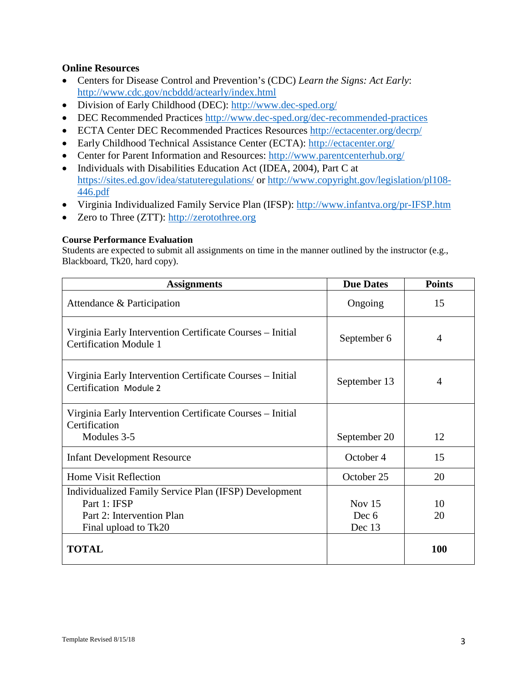## **Online Resources**

- Centers for Disease Control and Prevention's (CDC) *Learn the Signs: Act Early*: <http://www.cdc.gov/ncbddd/actearly/index.html>
- Division of Early Childhood (DEC):<http://www.dec-sped.org/>
- DEC Recommended Practices<http://www.dec-sped.org/dec-recommended-practices>
- ECTA Center DEC Recommended Practices Resources<http://ectacenter.org/decrp/>
- Early Childhood Technical Assistance Center (ECTA):<http://ectacenter.org/>
- Center for Parent Information and Resources:<http://www.parentcenterhub.org/>
- Individuals with Disabilities Education Act (IDEA, 2004), Part C at https://sites.ed.gov/idea/statuteregulations/ or [http://www.copyright.gov/legislation/pl108-](http://www.copyright.gov/legislation/pl108-446.pdf) [446.pdf](http://www.copyright.gov/legislation/pl108-446.pdf)
- Virginia Individualized Family Service Plan (IFSP): <http://www.infantva.org/pr-IFSP.htm>
- Zero to Three (ZTT): [http://zerotothree.org](http://zerotothree.org/)

#### **Course Performance Evaluation**

Students are expected to submit all assignments on time in the manner outlined by the instructor (e.g., Blackboard, Tk20, hard copy).

| <b>Assignments</b>                                                                         | <b>Due Dates</b> | <b>Points</b>  |
|--------------------------------------------------------------------------------------------|------------------|----------------|
| Attendance & Participation                                                                 | Ongoing          | 15             |
| Virginia Early Intervention Certificate Courses – Initial<br><b>Certification Module 1</b> | September 6      | $\overline{4}$ |
| Virginia Early Intervention Certificate Courses – Initial<br>Certification Module 2        | September 13     | 4              |
| Virginia Early Intervention Certificate Courses - Initial                                  |                  |                |
| Certification                                                                              |                  |                |
| Modules 3-5                                                                                | September 20     | 12             |
| <b>Infant Development Resource</b>                                                         | October 4        | 15             |
| <b>Home Visit Reflection</b>                                                               | October 25       | 20             |
| Individualized Family Service Plan (IFSP) Development                                      |                  |                |
| Part 1: IFSP                                                                               | Nov $15$         | 10             |
| Part 2: Intervention Plan                                                                  | Dec 6            | 20             |
| Final upload to Tk20                                                                       | Dec 13           |                |
| <b>TOTAL</b>                                                                               |                  | <b>100</b>     |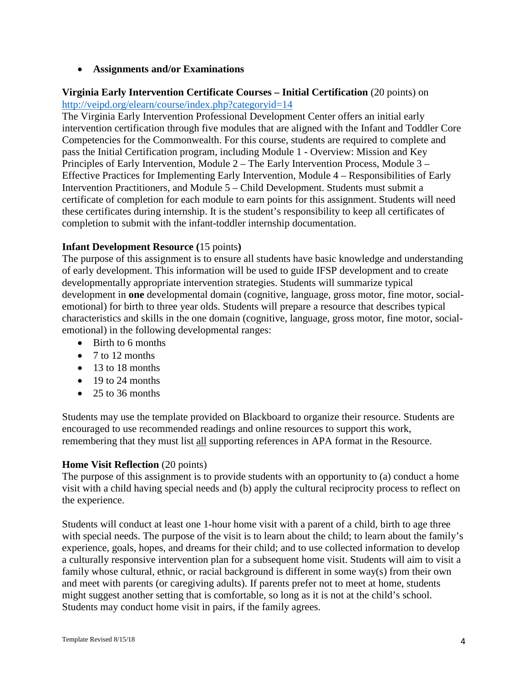## • **Assignments and/or Examinations**

## **Virginia Early Intervention Certificate Courses – Initial Certification** (20 points) on <http://veipd.org/elearn/course/index.php?categoryid=14>

The [Virginia Early Intervention Professional Development Center](http://www.veipd.org/main/) offers an initial early intervention certification through five modules that are aligned with the Infant and Toddler Core Competencies for the Commonwealth. For this course, students are required to complete and pass the Initial Certification program, including Module 1 - Overview: Mission and Key Principles of Early Intervention, Module 2 – The Early Intervention Process, Module 3 – Effective Practices for Implementing Early Intervention, Module 4 – Responsibilities of Early Intervention Practitioners, and Module 5 – Child Development. Students must submit a certificate of completion for each module to earn points for this assignment. Students will need these certificates during internship. It is the student's responsibility to keep all certificates of completion to submit with the infant-toddler internship documentation.

## **Infant Development Resource (**15 points**)**

The purpose of this assignment is to ensure all students have basic knowledge and understanding of early development. This information will be used to guide IFSP development and to create developmentally appropriate intervention strategies. Students will summarize typical development in **one** developmental domain (cognitive, language, gross motor, fine motor, socialemotional) for birth to three year olds. Students will prepare a resource that describes typical characteristics and skills in the one domain (cognitive, language, gross motor, fine motor, socialemotional) in the following developmental ranges:

- Birth to 6 months
- 7 to 12 months
- 13 to 18 months
- 19 to 24 months
- 25 to 36 months

Students may use the template provided on Blackboard to organize their resource. Students are encouraged to use recommended readings and online resources to support this work, remembering that they must list all supporting references in APA format in the Resource.

#### **Home Visit Reflection** (20 points)

The purpose of this assignment is to provide students with an opportunity to (a) conduct a home visit with a child having special needs and (b) apply the cultural reciprocity process to reflect on the experience.

Students will conduct at least one 1-hour home visit with a parent of a child, birth to age three with special needs. The purpose of the visit is to learn about the child; to learn about the family's experience, goals, hopes, and dreams for their child; and to use collected information to develop a culturally responsive intervention plan for a subsequent home visit. Students will aim to visit a family whose cultural, ethnic, or racial background is different in some way(s) from their own and meet with parents (or caregiving adults). If parents prefer not to meet at home, students might suggest another setting that is comfortable, so long as it is not at the child's school. Students may conduct home visit in pairs, if the family agrees.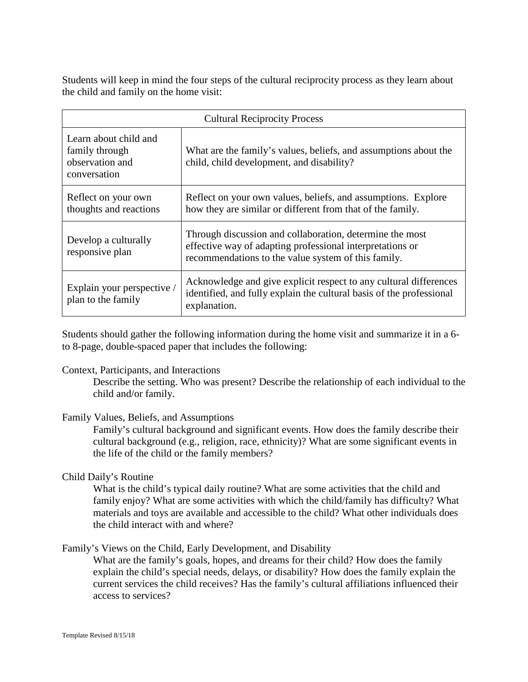Students will keep in mind the four steps of the cultural reciprocity process as they learn about the child and family on the home visit:

| <b>Cultural Reciprocity Process</b>                                        |                                                                                                                                                                              |  |
|----------------------------------------------------------------------------|------------------------------------------------------------------------------------------------------------------------------------------------------------------------------|--|
| Learn about child and<br>family through<br>observation and<br>conversation | What are the family's values, beliefs, and assumptions about the<br>child, child development, and disability?                                                                |  |
| Reflect on your own<br>thoughts and reactions                              | Reflect on your own values, beliefs, and assumptions. Explore<br>how they are similar or different from that of the family.                                                  |  |
| Develop a culturally<br>responsive plan                                    | Through discussion and collaboration, determine the most<br>effective way of adapting professional interpretations or<br>recommendations to the value system of this family. |  |
| Explain your perspective /<br>plan to the family                           | Acknowledge and give explicit respect to any cultural differences<br>identified, and fully explain the cultural basis of the professional<br>explanation.                    |  |

Students should gather the following information during the home visit and summarize it in a 6 to 8-page, double-spaced paper that includes the following:

#### Context, Participants, and Interactions

Describe the setting. Who was present? Describe the relationship of each individual to the child and/or family.

## Family Values, Beliefs, and Assumptions

Family's cultural background and significant events. How does the family describe their cultural background (e.g., religion, race, ethnicity)? What are some significant events in the life of the child or the family members?

## Child Daily's Routine

What is the child's typical daily routine? What are some activities that the child and family enjoy? What are some activities with which the child/family has difficulty? What materials and toys are available and accessible to the child? What other individuals does the child interact with and where?

Family's Views on the Child, Early Development, and Disability

What are the family's goals, hopes, and dreams for their child? How does the family explain the child's special needs, delays, or disability? How does the family explain the current services the child receives? Has the family's cultural affiliations influenced their access to services?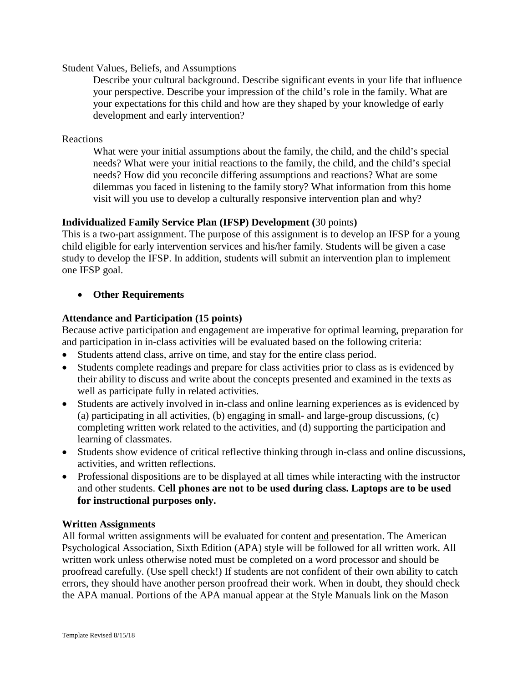Student Values, Beliefs, and Assumptions

Describe your cultural background. Describe significant events in your life that influence your perspective. Describe your impression of the child's role in the family. What are your expectations for this child and how are they shaped by your knowledge of early development and early intervention?

Reactions

What were your initial assumptions about the family, the child, and the child's special needs? What were your initial reactions to the family, the child, and the child's special needs? How did you reconcile differing assumptions and reactions? What are some dilemmas you faced in listening to the family story? What information from this home visit will you use to develop a culturally responsive intervention plan and why?

## **Individualized Family Service Plan (IFSP) Development (**30 points**)**

This is a two-part assignment. The purpose of this assignment is to develop an IFSP for a young child eligible for early intervention services and his/her family. Students will be given a case study to develop the IFSP. In addition, students will submit an intervention plan to implement one IFSP goal.

## • **Other Requirements**

## **Attendance and Participation (15 points)**

Because active participation and engagement are imperative for optimal learning, preparation for and participation in in-class activities will be evaluated based on the following criteria:

- Students attend class, arrive on time, and stay for the entire class period.
- Students complete readings and prepare for class activities prior to class as is evidenced by their ability to discuss and write about the concepts presented and examined in the texts as well as participate fully in related activities.
- Students are actively involved in in-class and online learning experiences as is evidenced by (a) participating in all activities, (b) engaging in small- and large-group discussions, (c) completing written work related to the activities, and (d) supporting the participation and learning of classmates.
- Students show evidence of critical reflective thinking through in-class and online discussions, activities, and written reflections.
- Professional dispositions are to be displayed at all times while interacting with the instructor and other students. **Cell phones are not to be used during class. Laptops are to be used for instructional purposes only.**

## **Written Assignments**

All formal written assignments will be evaluated for content and presentation. The American Psychological Association, Sixth Edition (APA) style will be followed for all written work. All written work unless otherwise noted must be completed on a word processor and should be proofread carefully. (Use spell check!) If students are not confident of their own ability to catch errors, they should have another person proofread their work. When in doubt, they should check the APA manual. Portions of the APA manual appear at the Style Manuals link on the Mason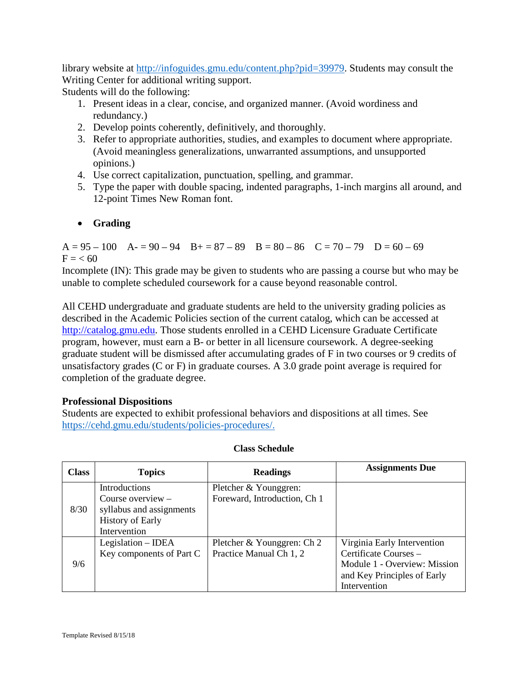library website at [http://infoguides.gmu.edu/content.php?pid=39979.](http://infoguides.gmu.edu/content.php?pid=39979) Students may consult the Writing Center for additional writing support.

Students will do the following:

- 1. Present ideas in a clear, concise, and organized manner. (Avoid wordiness and redundancy.)
- 2. Develop points coherently, definitively, and thoroughly.
- 3. Refer to appropriate authorities, studies, and examples to document where appropriate. (Avoid meaningless generalizations, unwarranted assumptions, and unsupported opinions.)
- 4. Use correct capitalization, punctuation, spelling, and grammar.
- 5. Type the paper with double spacing, indented paragraphs, 1-inch margins all around, and 12-point Times New Roman font.

# • **Grading**

 $A = 95 - 100$   $A = 90 - 94$   $B = 87 - 89$   $B = 80 - 86$   $C = 70 - 79$   $D = 60 - 69$  $F = < 60$ 

Incomplete (IN): This grade may be given to students who are passing a course but who may be unable to complete scheduled coursework for a cause beyond reasonable control.

All CEHD undergraduate and graduate students are held to the university grading policies as described in the Academic Policies section of the current catalog, which can be accessed at [http://catalog.gmu.edu.](http://catalog.gmu.edu/) Those students enrolled in a CEHD Licensure Graduate Certificate program, however, must earn a B- or better in all licensure coursework. A degree-seeking graduate student will be dismissed after accumulating grades of F in two courses or 9 credits of unsatisfactory grades (C or F) in graduate courses. A 3.0 grade point average is required for completion of the graduate degree.

# **Professional Dispositions**

Students are expected to exhibit professional behaviors and dispositions at all times. See [https://cehd.gmu.edu/students/policies-procedures/.](https://cehd.gmu.edu/students/policies-procedures/)

| <b>Class</b> | <b>Topics</b>                                                                                               | <b>Readings</b>                                       | <b>Assignments Due</b>                                                                                                              |
|--------------|-------------------------------------------------------------------------------------------------------------|-------------------------------------------------------|-------------------------------------------------------------------------------------------------------------------------------------|
| 8/30         | Introductions<br>Course overview $-$<br>syllabus and assignments<br><b>History of Early</b><br>Intervention | Pletcher & Younggren:<br>Foreward, Introduction, Ch 1 |                                                                                                                                     |
| 9/6          | Legislation – IDEA<br>Key components of Part C                                                              | Pletcher & Younggren: Ch 2<br>Practice Manual Ch 1, 2 | Virginia Early Intervention<br>Certificate Courses -<br>Module 1 - Overview: Mission<br>and Key Principles of Early<br>Intervention |

## **Class Schedule**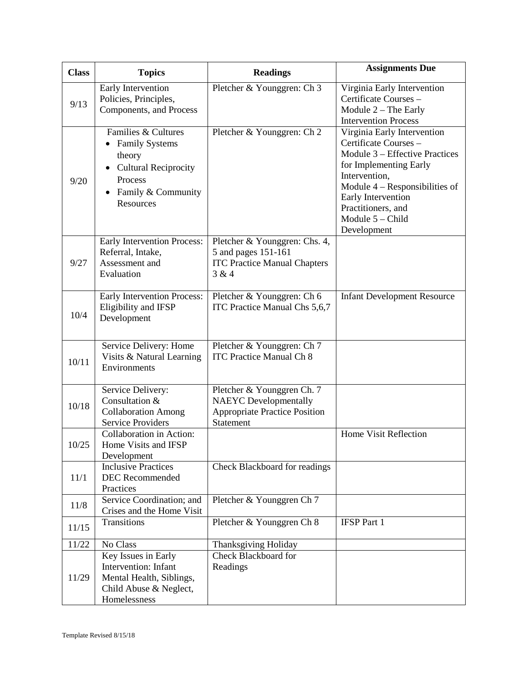| <b>Class</b> | <b>Topics</b>                                                                                                                          | <b>Readings</b>                                                                                                 | <b>Assignments Due</b>                                                                                                                                                                                                                               |
|--------------|----------------------------------------------------------------------------------------------------------------------------------------|-----------------------------------------------------------------------------------------------------------------|------------------------------------------------------------------------------------------------------------------------------------------------------------------------------------------------------------------------------------------------------|
| 9/13         | Early Intervention<br>Policies, Principles,<br>Components, and Process                                                                 | Pletcher & Younggren: Ch 3                                                                                      | Virginia Early Intervention<br>Certificate Courses -<br>Module $2$ – The Early<br><b>Intervention Process</b>                                                                                                                                        |
| 9/20         | Families & Cultures<br>• Family Systems<br>theory<br>• Cultural Reciprocity<br>Process<br>Family & Community<br>$\bullet$<br>Resources | Pletcher & Younggren: Ch 2                                                                                      | Virginia Early Intervention<br>Certificate Courses -<br>Module 3 – Effective Practices<br>for Implementing Early<br>Intervention,<br>Module $4 -$ Responsibilities of<br>Early Intervention<br>Practitioners, and<br>Module 5 - Child<br>Development |
| 9/27         | Early Intervention Process:<br>Referral, Intake,<br>Assessment and<br>Evaluation                                                       | Pletcher & Younggren: Chs. 4,<br>5 and pages 151-161<br><b>ITC Practice Manual Chapters</b><br>3 & 4            |                                                                                                                                                                                                                                                      |
| 10/4         | Early Intervention Process:<br>Eligibility and IFSP<br>Development                                                                     | Pletcher & Younggren: Ch 6<br>ITC Practice Manual Chs 5,6,7                                                     | <b>Infant Development Resource</b>                                                                                                                                                                                                                   |
| 10/11        | Service Delivery: Home<br>Visits & Natural Learning<br>Environments                                                                    | Pletcher & Younggren: Ch 7<br><b>ITC Practice Manual Ch 8</b>                                                   |                                                                                                                                                                                                                                                      |
| 10/18        | Service Delivery:<br>Consultation &<br><b>Collaboration Among</b><br><b>Service Providers</b>                                          | Pletcher & Younggren Ch. 7<br><b>NAEYC</b> Developmentally<br><b>Appropriate Practice Position</b><br>Statement |                                                                                                                                                                                                                                                      |
| 10/25        | Collaboration in Action:<br>Home Visits and IFSP<br>Development                                                                        |                                                                                                                 | <b>Home Visit Reflection</b>                                                                                                                                                                                                                         |
| 11/1         | <b>Inclusive Practices</b><br>DEC Recommended<br>Practices                                                                             | Check Blackboard for readings                                                                                   |                                                                                                                                                                                                                                                      |
| 11/8         | Service Coordination; and<br>Crises and the Home Visit                                                                                 | Pletcher & Younggren Ch 7                                                                                       |                                                                                                                                                                                                                                                      |
| 11/15        | <b>Transitions</b>                                                                                                                     | Pletcher & Younggren Ch 8                                                                                       | <b>IFSP Part 1</b>                                                                                                                                                                                                                                   |
| 11/22        | No Class                                                                                                                               | Thanksgiving Holiday                                                                                            |                                                                                                                                                                                                                                                      |
| 11/29        | Key Issues in Early<br>Intervention: Infant<br>Mental Health, Siblings,<br>Child Abuse & Neglect,<br>Homelessness                      | Check Blackboard for<br>Readings                                                                                |                                                                                                                                                                                                                                                      |